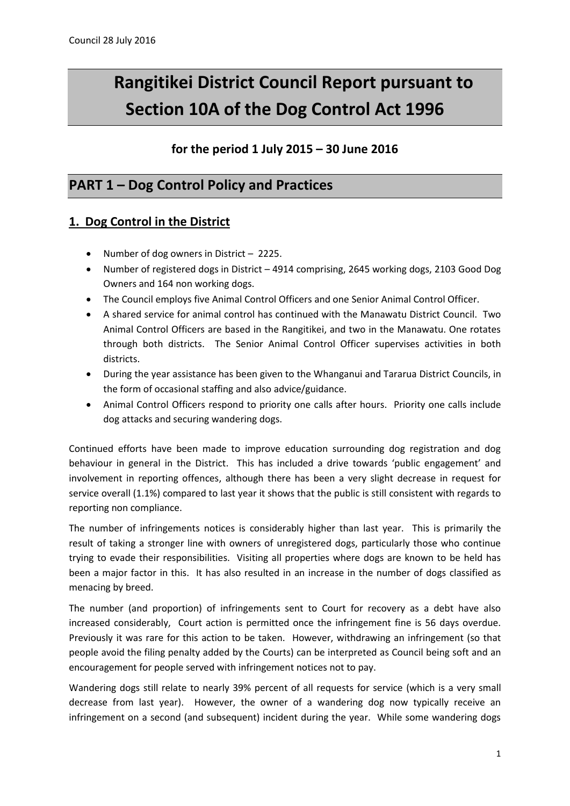# **Rangitikei District Council Report pursuant to Section 10A of the Dog Control Act 1996**

## **for the period 1 July 2015 – 30 June 2016**

# **PART 1 – Dog Control Policy and Practices**

#### **1. Dog Control in the District**

- Number of dog owners in District 2225.
- Number of registered dogs in District 4914 comprising, 2645 working dogs, 2103 Good Dog Owners and 164 non working dogs.
- The Council employs five Animal Control Officers and one Senior Animal Control Officer.
- A shared service for animal control has continued with the Manawatu District Council. Two Animal Control Officers are based in the Rangitikei, and two in the Manawatu. One rotates through both districts. The Senior Animal Control Officer supervises activities in both districts.
- During the year assistance has been given to the Whanganui and Tararua District Councils, in the form of occasional staffing and also advice/guidance.
- Animal Control Officers respond to priority one calls after hours. Priority one calls include dog attacks and securing wandering dogs.

Continued efforts have been made to improve education surrounding dog registration and dog behaviour in general in the District. This has included a drive towards 'public engagement' and involvement in reporting offences, although there has been a very slight decrease in request for service overall (1.1%) compared to last year it shows that the public is still consistent with regards to reporting non compliance.

The number of infringements notices is considerably higher than last year. This is primarily the result of taking a stronger line with owners of unregistered dogs, particularly those who continue trying to evade their responsibilities. Visiting all properties where dogs are known to be held has been a major factor in this. It has also resulted in an increase in the number of dogs classified as menacing by breed.

The number (and proportion) of infringements sent to Court for recovery as a debt have also increased considerably, Court action is permitted once the infringement fine is 56 days overdue. Previously it was rare for this action to be taken. However, withdrawing an infringement (so that people avoid the filing penalty added by the Courts) can be interpreted as Council being soft and an encouragement for people served with infringement notices not to pay.

Wandering dogs still relate to nearly 39% percent of all requests for service (which is a very small decrease from last year). However, the owner of a wandering dog now typically receive an infringement on a second (and subsequent) incident during the year. While some wandering dogs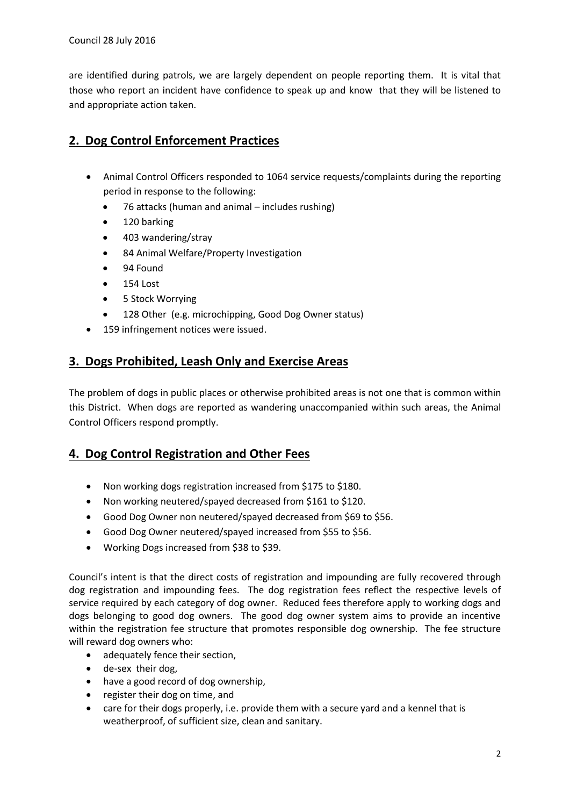are identified during patrols, we are largely dependent on people reporting them. It is vital that those who report an incident have confidence to speak up and know that they will be listened to and appropriate action taken.

# **2. Dog Control Enforcement Practices**

- Animal Control Officers responded to 1064 service requests/complaints during the reporting period in response to the following:
	- 76 attacks (human and animal includes rushing)
	- 120 barking
	- 403 wandering/stray
	- 84 Animal Welfare/Property Investigation
	- 94 Found
	- 154 Lost
	- 5 Stock Worrying
	- 128 Other (e.g. microchipping, Good Dog Owner status)
- 159 infringement notices were issued.

#### **3. Dogs Prohibited, Leash Only and Exercise Areas**

The problem of dogs in public places or otherwise prohibited areas is not one that is common within this District. When dogs are reported as wandering unaccompanied within such areas, the Animal Control Officers respond promptly.

### **4. Dog Control Registration and Other Fees**

- Non working dogs registration increased from \$175 to \$180.
- Non working neutered/spayed decreased from \$161 to \$120.
- Good Dog Owner non neutered/spayed decreased from \$69 to \$56.
- Good Dog Owner neutered/spayed increased from \$55 to \$56.
- Working Dogs increased from \$38 to \$39.

Council's intent is that the direct costs of registration and impounding are fully recovered through dog registration and impounding fees. The dog registration fees reflect the respective levels of service required by each category of dog owner. Reduced fees therefore apply to working dogs and dogs belonging to good dog owners. The good dog owner system aims to provide an incentive within the registration fee structure that promotes responsible dog ownership. The fee structure will reward dog owners who:

- adequately fence their section,
- de-sex their dog,
- have a good record of dog ownership,
- register their dog on time, and
- care for their dogs properly, i.e. provide them with a secure yard and a kennel that is weatherproof, of sufficient size, clean and sanitary.